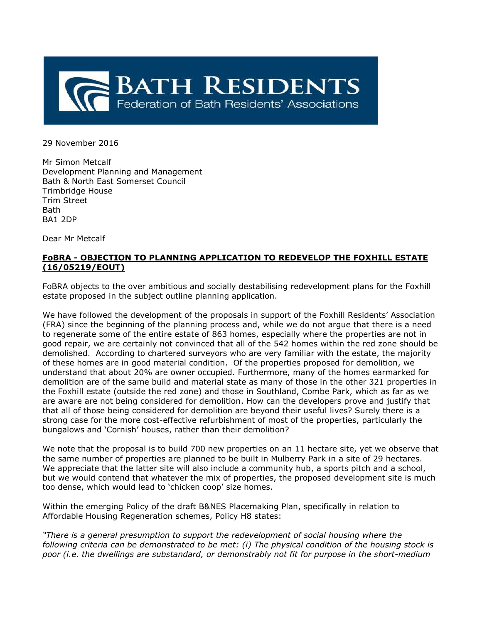

29 November 2016

Mr Simon Metcalf Development Planning and Management Bath & North East Somerset Council Trimbridge House Trim Street Bath BA1 2DP

Dear Mr Metcalf

## **FoBRA - OBJECTION TO PLANNING APPLICATION TO REDEVELOP THE FOXHILL ESTATE (16/05219/EOUT)**

FoBRA objects to the over ambitious and socially destabilising redevelopment plans for the Foxhill estate proposed in the subject outline planning application.

We have followed the development of the proposals in support of the Foxhill Residents' Association (FRA) since the beginning of the planning process and, while we do not argue that there is a need to regenerate some of the entire estate of 863 homes, especially where the properties are not in good repair, we are certainly not convinced that all of the 542 homes within the red zone should be demolished. According to chartered surveyors who are very familiar with the estate, the majority of these homes are in good material condition. Of the properties proposed for demolition, we understand that about 20% are owner occupied. Furthermore, many of the homes earmarked for demolition are of the same build and material state as many of those in the other 321 properties in the Foxhill estate (outside the red zone) and those in Southland, Combe Park, which as far as we are aware are not being considered for demolition. How can the developers prove and justify that that all of those being considered for demolition are beyond their useful lives? Surely there is a strong case for the more cost-effective refurbishment of most of the properties, particularly the bungalows and 'Cornish' houses, rather than their demolition?

We note that the proposal is to build 700 new properties on an 11 hectare site, yet we observe that the same number of properties are planned to be built in Mulberry Park in a site of 29 hectares. We appreciate that the latter site will also include a community hub, a sports pitch and a school, but we would contend that whatever the mix of properties, the proposed development site is much too dense, which would lead to 'chicken coop' size homes.

Within the emerging Policy of the draft B&NES Placemaking Plan, specifically in relation to Affordable Housing Regeneration schemes, Policy H8 states:

*"There is a general presumption to support the redevelopment of social housing where the following criteria can be demonstrated to be met: (i) The physical condition of the housing stock is poor (i.e. the dwellings are substandard, or demonstrably not fit for purpose in the short-medium*